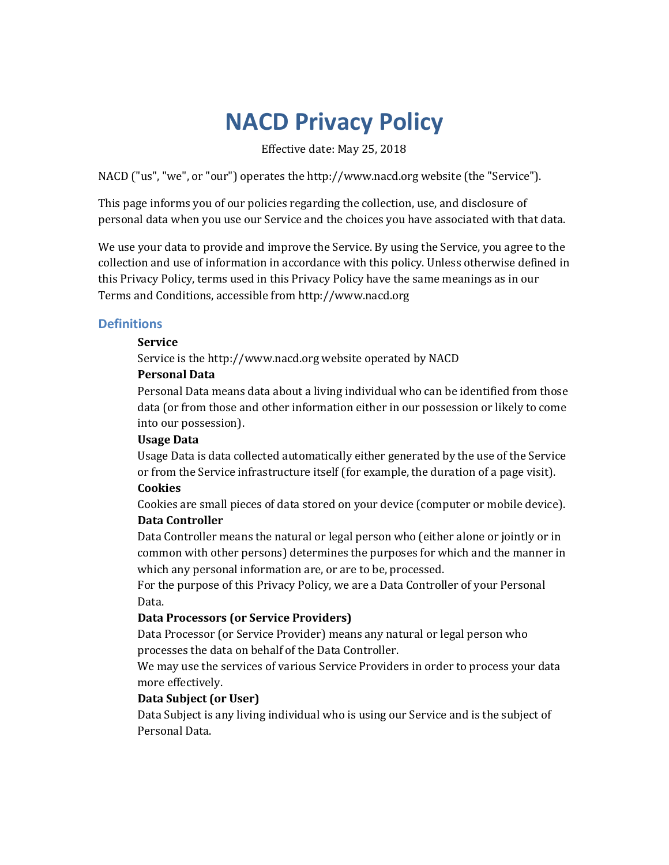# **NACD Privacy Policy**

Effective date: May 25, 2018

NACD ("us", "we", or "our") operates the http://www.nacd.org website (the "Service").

This page informs you of our policies regarding the collection, use, and disclosure of personal data when you use our Service and the choices you have associated with that data.

We use your data to provide and improve the Service. By using the Service, you agree to the collection and use of information in accordance with this policy. Unless otherwise defined in this Privacy Policy, terms used in this Privacy Policy have the same meanings as in our Terms and Conditions, accessible from http://www.nacd.org

## **Definitions**

#### **Service**

Service is the http://www.nacd.org website operated by NACD

## **Personal Data**

Personal Data means data about a living individual who can be identified from those data (or from those and other information either in our possession or likely to come into our possession).

#### **Usage Data**

Usage Data is data collected automatically either generated by the use of the Service or from the Service infrastructure itself (for example, the duration of a page visit).

#### **Cookies**

Cookies are small pieces of data stored on your device (computer or mobile device). **Data Controller**

Data Controller means the natural or legal person who (either alone or jointly or in common with other persons) determines the purposes for which and the manner in which any personal information are, or are to be, processed.

For the purpose of this Privacy Policy, we are a Data Controller of your Personal Data.

## **Data Processors (or Service Providers)**

Data Processor (or Service Provider) means any natural or legal person who processes the data on behalf of the Data Controller.

We may use the services of various Service Providers in order to process your data more effectively.

## **Data Subject (or User)**

Data Subject is any living individual who is using our Service and is the subject of Personal Data.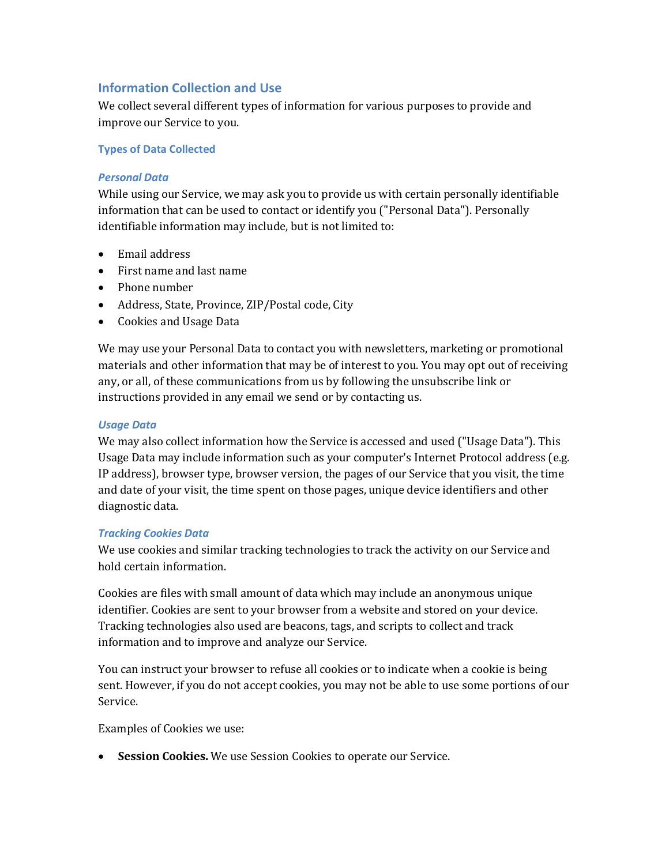## **Information Collection and Use**

We collect several different types of information for various purposes to provide and improve our Service to you.

#### **Types of Data Collected**

#### *Personal Data*

While using our Service, we may ask you to provide us with certain personally identifiable information that can be used to contact or identify you ("Personal Data"). Personally identifiable information may include, but is not limited to:

- Email address
- First name and last name
- Phone number
- Address, State, Province, ZIP/Postal code, City
- Cookies and Usage Data

We may use your Personal Data to contact you with newsletters, marketing or promotional materials and other information that may be of interest to you. You may opt out of receiving any, or all, of these communications from us by following the unsubscribe link or instructions provided in any email we send or by contacting us.

#### *Usage Data*

We may also collect information how the Service is accessed and used ("Usage Data"). This Usage Data may include information such as your computer's Internet Protocol address (e.g. IP address), browser type, browser version, the pages of our Service that you visit, the time and date of your visit, the time spent on those pages, unique device identifiers and other diagnostic data.

#### *Tracking Cookies Data*

We use cookies and similar tracking technologies to track the activity on our Service and hold certain information.

Cookies are files with small amount of data which may include an anonymous unique identifier. Cookies are sent to your browser from a website and stored on your device. Tracking technologies also used are beacons, tags, and scripts to collect and track information and to improve and analyze our Service.

You can instruct your browser to refuse all cookies or to indicate when a cookie is being sent. However, if you do not accept cookies, you may not be able to use some portions of our Service.

Examples of Cookies we use:

• Session Cookies. We use Session Cookies to operate our Service.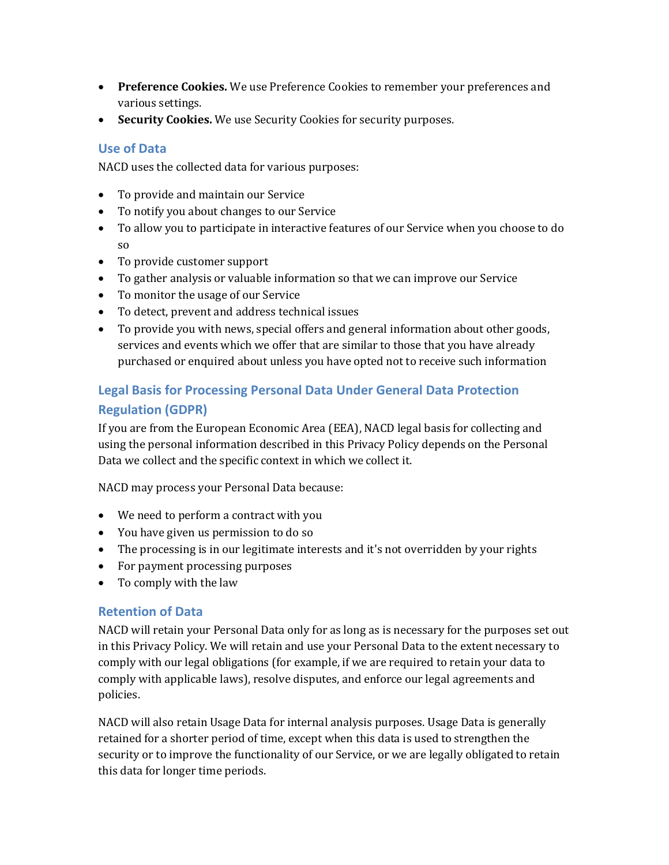- **Preference Cookies.** We use Preference Cookies to remember your preferences and various settings.
- Security Cookies. We use Security Cookies for security purposes.

## **Use of Data**

NACD uses the collected data for various purposes:

- To provide and maintain our Service
- To notify you about changes to our Service
- To allow you to participate in interactive features of our Service when you choose to do so
- To provide customer support
- To gather analysis or valuable information so that we can improve our Service
- To monitor the usage of our Service
- To detect, prevent and address technical issues
- To provide you with news, special offers and general information about other goods, services and events which we offer that are similar to those that you have already purchased or enquired about unless you have opted not to receive such information

# **Legal Basis for Processing Personal Data Under General Data Protection Regulation (GDPR)**

If you are from the European Economic Area (EEA), NACD legal basis for collecting and using the personal information described in this Privacy Policy depends on the Personal Data we collect and the specific context in which we collect it.

NACD may process your Personal Data because:

- We need to perform a contract with you
- You have given us permission to do so
- The processing is in our legitimate interests and it's not overridden by your rights
- For payment processing purposes
- $\bullet$  To comply with the law

## **Retention of Data**

NACD will retain your Personal Data only for as long as is necessary for the purposes set out in this Privacy Policy. We will retain and use your Personal Data to the extent necessary to comply with our legal obligations (for example, if we are required to retain your data to comply with applicable laws), resolve disputes, and enforce our legal agreements and policies.

NACD will also retain Usage Data for internal analysis purposes. Usage Data is generally retained for a shorter period of time, except when this data is used to strengthen the security or to improve the functionality of our Service, or we are legally obligated to retain this data for longer time periods.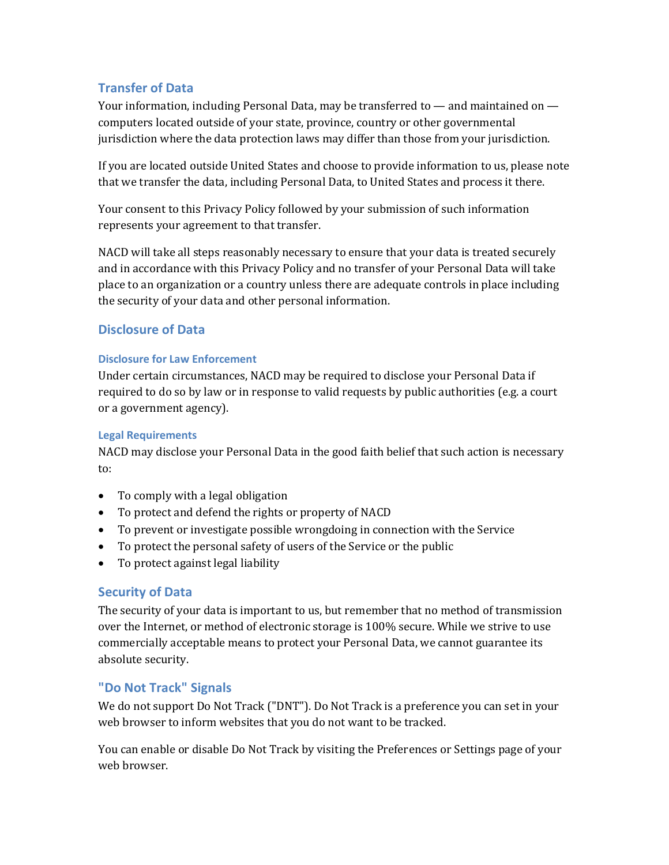## **Transfer of Data**

Your information, including Personal Data, may be transferred to  $-$  and maintained on  $$ computers located outside of your state, province, country or other governmental jurisdiction where the data protection laws may differ than those from your jurisdiction.

If you are located outside United States and choose to provide information to us, please note that we transfer the data, including Personal Data, to United States and process it there.

Your consent to this Privacy Policy followed by your submission of such information represents your agreement to that transfer.

NACD will take all steps reasonably necessary to ensure that your data is treated securely and in accordance with this Privacy Policy and no transfer of your Personal Data will take place to an organization or a country unless there are adequate controls in place including the security of your data and other personal information.

## **Disclosure of Data**

## **Disclosure for Law Enforcement**

Under certain circumstances, NACD may be required to disclose your Personal Data if required to do so by law or in response to valid requests by public authorities (e.g. a court or a government agency).

#### **Legal Requirements**

NACD may disclose your Personal Data in the good faith belief that such action is necessary to:

- To comply with a legal obligation
- To protect and defend the rights or property of NACD
- To prevent or investigate possible wrongdoing in connection with the Service
- To protect the personal safety of users of the Service or the public
- To protect against legal liability

## **Security of Data**

The security of your data is important to us, but remember that no method of transmission over the Internet, or method of electronic storage is 100% secure. While we strive to use commercially acceptable means to protect your Personal Data, we cannot guarantee its absolute security.

## **"Do Not Track" Signals**

We do not support Do Not Track ("DNT"). Do Not Track is a preference you can set in your web browser to inform websites that you do not want to be tracked.

You can enable or disable Do Not Track by visiting the Preferences or Settings page of your web browser.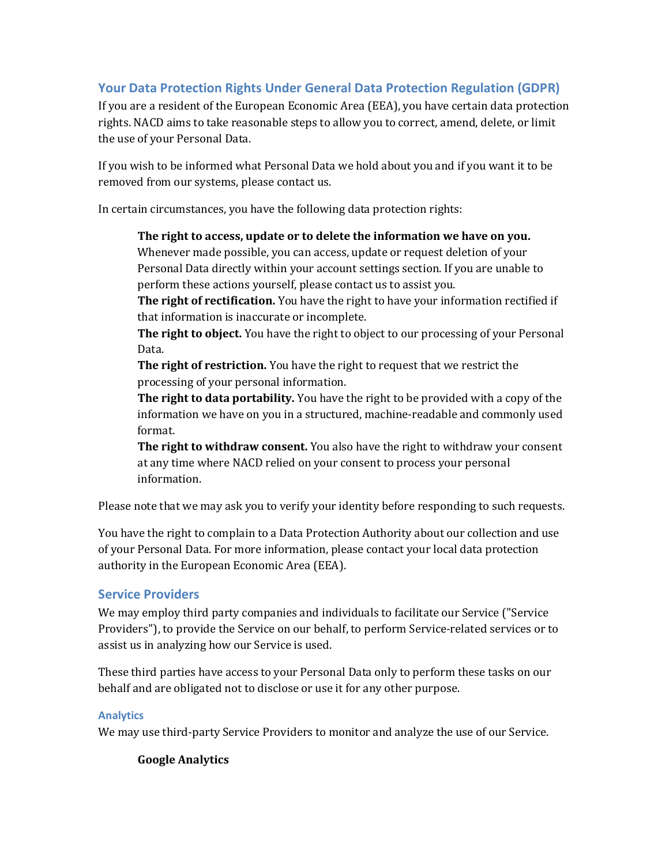# **Your Data Protection Rights Under General Data Protection Regulation (GDPR)**

If you are a resident of the European Economic Area (EEA), you have certain data protection rights. NACD aims to take reasonable steps to allow you to correct, amend, delete, or limit the use of your Personal Data.

If you wish to be informed what Personal Data we hold about you and if you want it to be removed from our systems, please contact us.

In certain circumstances, you have the following data protection rights:

## The right to access, update or to delete the information we have on you.

Whenever made possible, you can access, update or request deletion of your Personal Data directly within your account settings section. If you are unable to perform these actions yourself, please contact us to assist you.

The right of rectification. You have the right to have your information rectified if that information is inaccurate or incomplete.

**The right to object.** You have the right to object to our processing of your Personal Data.

**The right of restriction.** You have the right to request that we restrict the processing of your personal information.

**The right to data portability.** You have the right to be provided with a copy of the information we have on you in a structured, machine-readable and commonly used format.

**The right to withdraw consent.** You also have the right to withdraw your consent at any time where NACD relied on your consent to process your personal information.

Please note that we may ask you to verify your identity before responding to such requests.

You have the right to complain to a Data Protection Authority about our collection and use of your Personal Data. For more information, please contact your local data protection authority in the European Economic Area (EEA).

## **Service Providers**

We may employ third party companies and individuals to facilitate our Service ("Service Providers"), to provide the Service on our behalf, to perform Service-related services or to assist us in analyzing how our Service is used.

These third parties have access to your Personal Data only to perform these tasks on our behalf and are obligated not to disclose or use it for any other purpose.

## **Analytics**

We may use third-party Service Providers to monitor and analyze the use of our Service.

## **Google Analytics**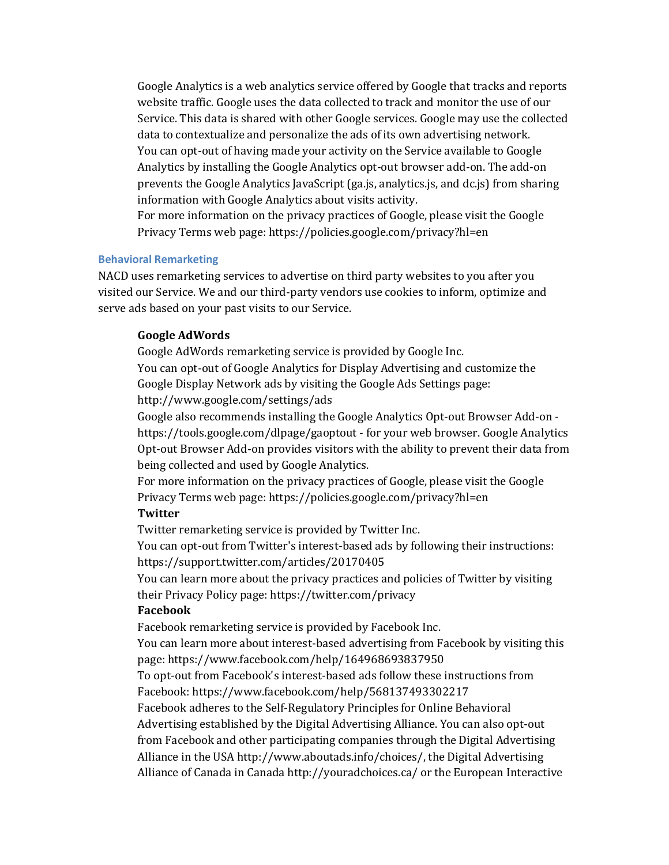Google Analytics is a web analytics service offered by Google that tracks and reports website traffic. Google uses the data collected to track and monitor the use of our Service. This data is shared with other Google services. Google may use the collected data to contextualize and personalize the ads of its own advertising network. You can opt-out of having made your activity on the Service available to Google Analytics by installing the Google Analytics opt-out browser add-on. The add-on prevents the Google Analytics JavaScript  $(ga.is, analytics.is, and dc.is)$  from sharing information with Google Analytics about visits activity.

For more information on the privacy practices of Google, please visit the Google Privacy Terms web page: https://policies.google.com/privacy?hl=en

#### **Behavioral Remarketing**

NACD uses remarketing services to advertise on third party websites to you after you visited our Service. We and our third-party vendors use cookies to inform, optimize and serve ads based on your past visits to our Service.

#### **Google AdWords**

Google AdWords remarketing service is provided by Google Inc. You can opt-out of Google Analytics for Display Advertising and customize the Google Display Network ads by visiting the Google Ads Settings page: http://www.google.com/settings/ads

Google also recommends installing the Google Analytics Opt-out Browser Add-on https://tools.google.com/dlpage/gaoptout - for your web browser. Google Analytics Opt-out Browser Add-on provides visitors with the ability to prevent their data from being collected and used by Google Analytics.

For more information on the privacy practices of Google, please visit the Google Privacy Terms web page: https://policies.google.com/privacy?hl=en

#### **Twitter**

Twitter remarketing service is provided by Twitter Inc.

You can opt-out from Twitter's interest-based ads by following their instructions: https://support.twitter.com/articles/20170405

You can learn more about the privacy practices and policies of Twitter by visiting their Privacy Policy page: https://twitter.com/privacy

#### **Facebook**

Facebook remarketing service is provided by Facebook Inc.

You can learn more about interest-based advertising from Facebook by visiting this page: https://www.facebook.com/help/164968693837950

To opt-out from Facebook's interest-based ads follow these instructions from Facebook: https://www.facebook.com/help/568137493302217

Facebook adheres to the Self-Regulatory Principles for Online Behavioral Advertising established by the Digital Advertising Alliance. You can also opt-out from Facebook and other participating companies through the Digital Advertising Alliance in the USA http://www.aboutads.info/choices/, the Digital Advertising Alliance of Canada in Canada  $http://youradchoices.ca/$  or the European Interactive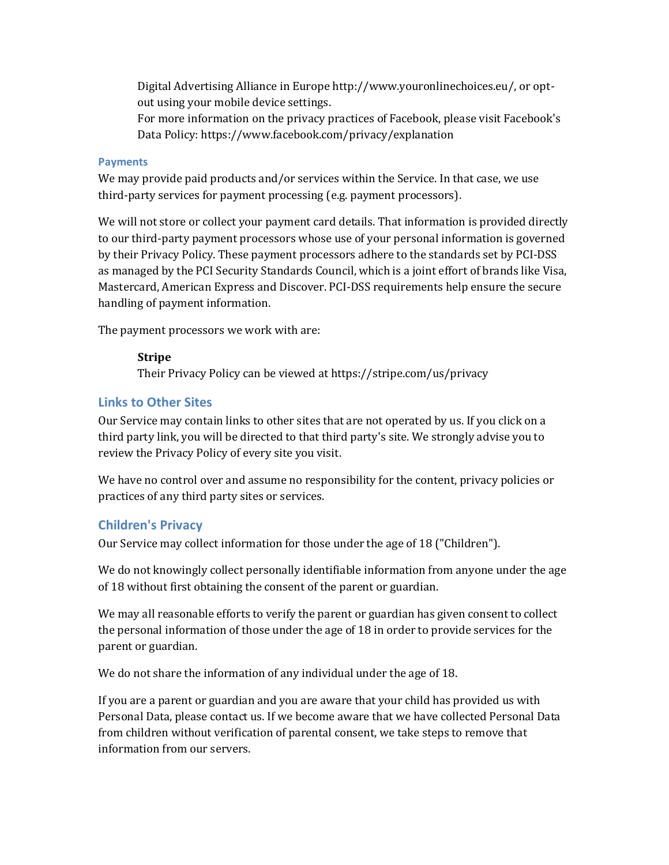Digital Advertising Alliance in Europe http://www.youronlinechoices.eu/, or optout using your mobile device settings.

For more information on the privacy practices of Facebook, please visit Facebook's Data Policy: https://www.facebook.com/privacy/explanation

#### **Payments**

We may provide paid products and/or services within the Service. In that case, we use third-party services for payment processing (e.g. payment processors).

We will not store or collect your payment card details. That information is provided directly to our third-party payment processors whose use of your personal information is governed by their Privacy Policy. These payment processors adhere to the standards set by PCI-DSS as managed by the PCI Security Standards Council, which is a joint effort of brands like Visa, Mastercard, American Express and Discover. PCI-DSS requirements help ensure the secure handling of payment information.

The payment processors we work with are:

**Stripe** Their Privacy Policy can be viewed at https://stripe.com/us/privacy

## **Links to Other Sites**

Our Service may contain links to other sites that are not operated by us. If you click on a third party link, you will be directed to that third party's site. We strongly advise you to review the Privacy Policy of every site you visit.

We have no control over and assume no responsibility for the content, privacy policies or practices of any third party sites or services.

## **Children's Privacy**

Our Service may collect information for those under the age of 18 ("Children").

We do not knowingly collect personally identifiable information from anyone under the age of 18 without first obtaining the consent of the parent or guardian.

We may all reasonable efforts to verify the parent or guardian has given consent to collect the personal information of those under the age of 18 in order to provide services for the parent or guardian.

We do not share the information of any individual under the age of 18.

If you are a parent or guardian and you are aware that your child has provided us with Personal Data, please contact us. If we become aware that we have collected Personal Data from children without verification of parental consent, we take steps to remove that information from our servers.